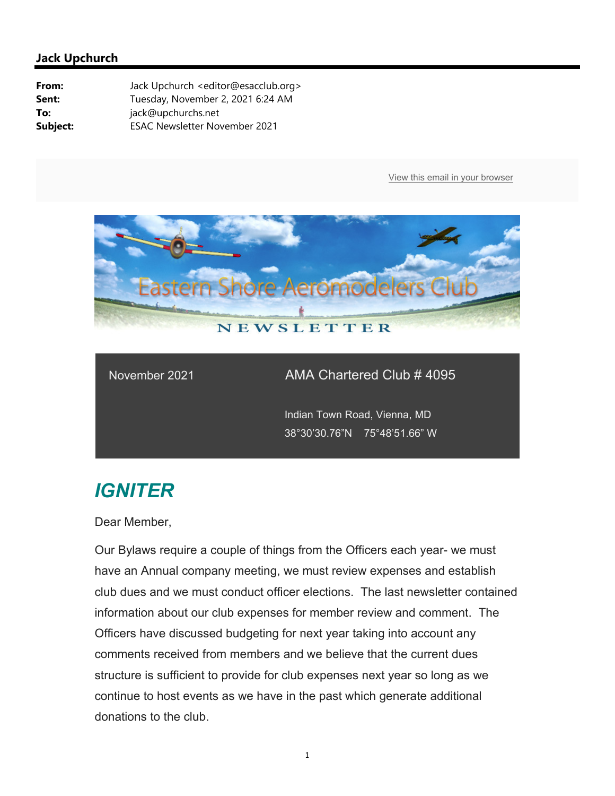

#### November 2021 AMA Chartered Club # 4095

 Indian Town Road, Vienna, MD 38°30'30.76"N 75°48'51.66" W

# *IGNITER*

Dear Member,

Our Bylaws require a couple of things from the Officers each year- we must have an Annual company meeting, we must review expenses and establish club dues and we must conduct officer elections. The last newsletter contained information about our club expenses for member review and comment. The Officers have discussed budgeting for next year taking into account any comments received from members and we believe that the current dues structure is sufficient to provide for club expenses next year so long as we continue to host events as we have in the past which generate additional donations to the club.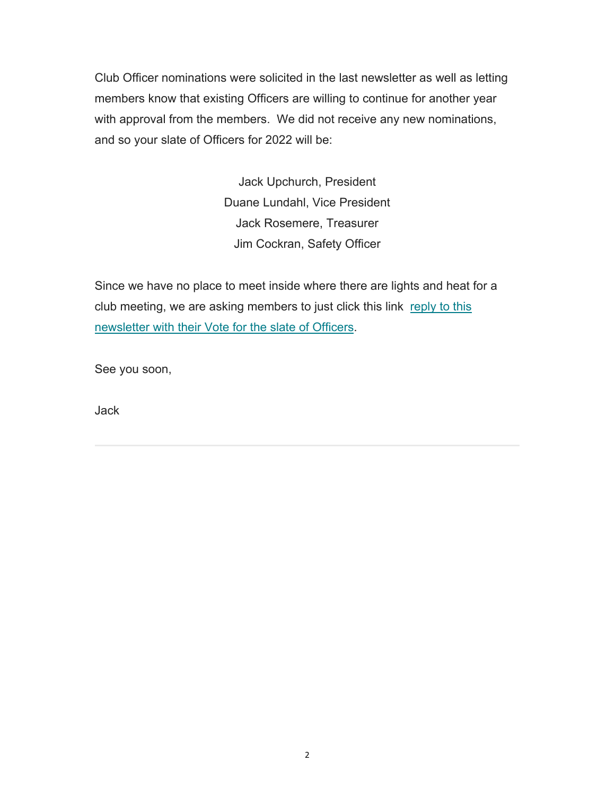Club Officer nominations were solicited in the last newsletter as well as letting members know that existing Officers are willing to continue for another year with approval from the members. We did not receive any new nominations, and so your slate of Officers for 2022 will be:

> Jack Upchurch, President Duane Lundahl, Vice President Jack Rosemere, Treasurer Jim Cockran, Safety Officer

Since we have no place to meet inside where there are lights and heat for a club meeting, we are asking members to just click this link reply to this newsletter with their Vote for the slate of Officers.

See you soon,

Jack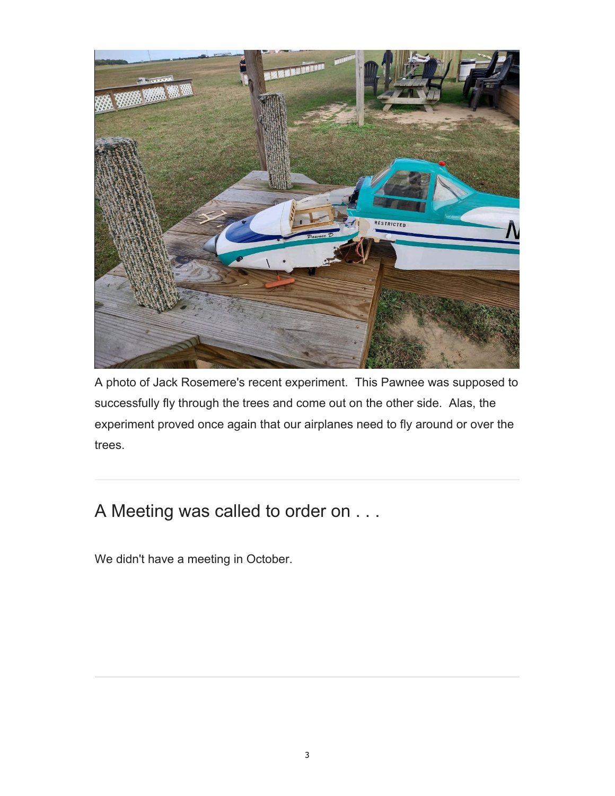

A photo of Jack Rosemere's recent experiment. This Pawnee was supposed to successfully fly through the trees and come out on the other side. Alas, the experiment proved once again that our airplanes need to fly around or over the trees.

## A Meeting was called to order on . . .

We didn't have a meeting in October.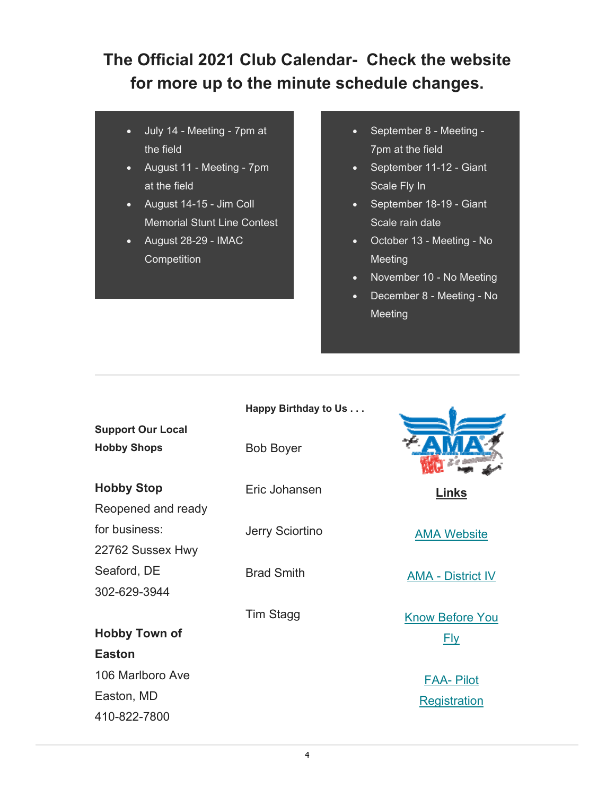### **The Official 2021 Club Calendar- Check the website for more up to the minute schedule changes.**

- July 14 Meeting 7pm at the field
- August 11 Meeting 7pm at the field
- August 14-15 Jim Coll Memorial Stunt Line Contest
- August 28-29 IMAC **Competition**
- September 8 Meeting -7pm at the field
- September 11-12 Giant Scale Fly In
- September 18-19 Giant Scale rain date
- October 13 Meeting No Meeting
- November 10 No Meeting
- December 8 Meeting No Meeting

|                          | Happy Birthday to Us |                          |
|--------------------------|----------------------|--------------------------|
| <b>Support Our Local</b> |                      |                          |
| <b>Hobby Shops</b>       | <b>Bob Boyer</b>     |                          |
| <b>Hobby Stop</b>        | Eric Johansen        | Links                    |
| Reopened and ready       |                      |                          |
| for business:            | Jerry Sciortino      | <b>AMA Website</b>       |
| 22762 Sussex Hwy         |                      |                          |
| Seaford, DE              | <b>Brad Smith</b>    | <b>AMA - District IV</b> |
| 302-629-3944             |                      |                          |
|                          | Tim Stagg            | <b>Know Before You</b>   |
| <b>Hobby Town of</b>     |                      | <b>Fly</b>               |
| <b>Easton</b>            |                      |                          |
| 106 Marlboro Ave         |                      | <b>FAA- Pilot</b>        |
| Easton, MD               |                      | <b>Registration</b>      |
| 410-822-7800             |                      |                          |
|                          |                      |                          |